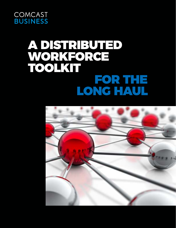

## A DISTRIBUTED WORKFORCE TOOLKIT FOR THE LONG HAUL

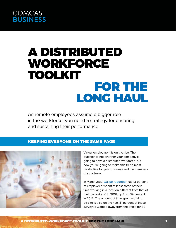## A DISTRIBUTED WORKFORCE TOOLKIT FOR THE LONG HAUL

As remote employees assume a bigger role in the workforce, you need a strategy for ensuring and sustaining their performance.

#### KEEPING EVERYONE ON THE SAME PAGE



Virtual employment is on the rise. The question is not whether your company is going to have a distributed workforce, but how you're going to make this trend most productive for your business and the members of your team.

In March 2017, [Gallup reported](http://news.gallup.com/businessjournal/206033/america-coming-workplace-home-alone.aspx) that 43 percent of employees "spent at least some of their time working in a location different from that of their coworkers" in 2016, up from 39 percent in 2012. The amount of time spent working off-site is also on the rise: 31 percent of those surveyed worked away from the office for 80

A DISTRIBUTED WORKFORCE TOOLKIT FOR THE LONG HAUL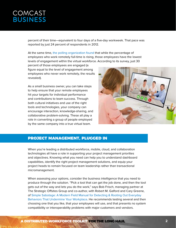# **COMCAST<br>BUSINESS**

percent of their time—equivalent to four days of a five-day workweek. That pace was reported by just 24 percent of respondents in 2012.

At the same time, [the polling organization found](http://news.gallup.com/businessjournal/207539/employees-home-less-engaged.aspx) that while the percentage of employees who work remotely full-time is rising, those employees have the lowest levels of engagement within the virtual workforce. According to its survey, just 30

percent of those employees are engaged (a figure equal to the level of engagement among employees who never work remotely, the results revealed).

As a small business owner, you can take steps to help ensure that your remote employees hit your targets for individual performance and contributions to team success. Through both cultural initiatives and use of the right tools and technologies, your company can encourage interaction, knowledge-sharing, and collaborative problem-solving. These all play a role in converting a group of people employed by the same company into a true virtual team.



#### PROJECT MANAGEMENT, PLUGGED IN

When you're leading a distributed workforce, mobile, cloud, and collaboration technologies all have a role in supporting your project management priorities and objectives. Knowing what you need can help you to understand dashboard capabilities, identify the right project management solutions, and equip your project heads to remain focused on team leadership rather than transactional micromanagement.

When assessing your options, consider the business intelligence that you need to produce through the solution. "Pick a tool that can get the job done, and then the tool gets out of the way and lets you do the work," says Bob Frisch, managing partner at The Strategic Offsites Group and co-author, with Robert M. Galford and Cary Greene, of [Simple Sabotage: A Modern Field Manual for Detecting & Rooting Out Everyday](http://www.simplesabotage.com/)  [Behaviors That Undermine Your Workplace.](http://www.simplesabotage.com/) He recommends testing several and then choosing one that you like, that your employees will use, and that presents no system compatibility or interoperability problems with major customers and vendors.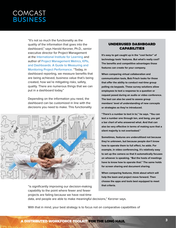"It's not so much the functionality as the quality of the information that goes into the dashboard," says Harold Kerzner, Ph.D., senior executive director for Project Management at the [International Institute for Learning](https://www.iil.com/) and author of [Project Management Metrics, KPIs,](http://www.wiley.com/WileyCDA/WileyTitle/productCd-1119427282.html)  [and Dashboards: A Guide to Measuring and](http://www.wiley.com/WileyCDA/WileyTitle/productCd-1119427282.html)  [Monitoring Project Performance.](http://www.wiley.com/WileyCDA/WileyTitle/productCd-1119427282.html) "Today, in dashboard reporting, we measure benefits that are being achieved, business value that's being created, how we're mitigating risks, safety, quality. There are numerous things that we can put in a dashboard today."

Depending on the information you need, the dashboard can be customized in line with the decisions you need to make. This functionality



"is significantly improving our decision-making capability to the point where fewer and fewer projects are failing because we have real-time

#### UNDERUSED DASHBOARD CAPABILITIES

**It's easy to get caught up in the "cool factor" of technology tools' features. But what's really cool? The benefits and competitive advantages those features can create for your company.** 

**When comparing virtual collaboration and communication tools, Bob Frisch looks for those that offer the ability to conduct real-time group polling via keypads. These survey solutions allow employees to text a response to a question or request posed during an audio or video conference. The tool can also be used to assess group members' level of understanding of new concepts or strategies as they're introduced.** 

**"There's a number to text in to," he says. "You can text a number one through ten, and bang, you get a bar chart of who answered what. And that can also be very effective in terms of making sure that a silent majority is not overlooked."** 

**Sometimes, features are underutilized not because they're unknown, but because people don't know how to operate them to full effect, he adds. For example, in video conferencing, it's relatively easy to set up the camera so that it automatically focuses on whoever is speaking. "But the hosts of meetings have to know how to operate that." The same holds for screen sharing and document sharing.** 

**When comparing features, think about which will help the team and project move forward. Then choose the apps and tools best equipped to meet that criteria.**

A DISTRIBUTED WORKFORCE TOOLKIT FOR THE LONG HAUL

data, and people are able to make meaningful decisions," Kerzner says.

With that in mind, your best strategy is to focus not on comparative capabilities of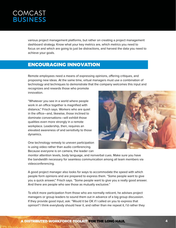# **COMCAST<br>BUSINESS**

various project management platforms, but rather on creating a project management dashboard strategy. Know what your key metrics are, which metrics you need to focus on and which are going to just be distractions, and harvest the data you need to achieve your goals.

#### ENCOURAGING INNOVATION

Remote employees need a means of expressing opinions, offering critiques, and proposing new ideas. At the same time, virtual managers must use a combination of technology and techniques to demonstrate that the company welcomes this input and

recognizes and rewards those who promote innovation.

"Whatever you see in a world where people work in an office together is magnified with distance," Frisch says. Workers who are quiet in the office—and, likewise, those inclined to dominate conversations—will exhibit those qualities even more strongly in a remote workplace. Leadership, then, requires an elevated awareness of and sensitivity to those dynamics.

One technology remedy to uneven participation is using video rather than audio conferencing. Because everyone is on camera, the leader can



monitor attention levels, body language, and nonverbal cues. Make sure you have the bandwidth necessary for seamless communication among all team members via videoconferencing.

A good project manager also looks for ways to accommodate the speed with which people form opinions and are prepared to express them. "Some people want to give you a quick answer," Frisch says. "Some people want to give you a really good answer. And there are people who see those as mutually exclusive."

To elicit more participation from those who are normally reticent, he advises project managers or group leaders to sound them out in advance of a big group discussion. If they provide good input, ask: "Would it be OK if I called on you to express that opinion? I think everybody should hear it, and rather than me repeat it, I'd rather they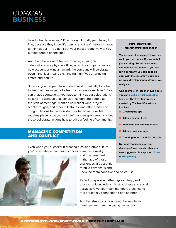hear it directly from you," Frisch says. "Usually people say it's fine, because they know it's coming and they'll have a chance to think about it. You don't get your most productive work by putting people on the spot."

And then there's what he calls "the big missing" celebrations. In a physical office, when the company lands a new account or wins an award, the company will celebrate, even if that just means exchanging high-fives or bringing in coffee and donuts.

"How do you get people who don't work physically together to feel that they're part of a team on an emotional level? If you can't have spontaneity, you have to think about celebrations," he says. To achieve that, consider celebrating people at the start of meetings. Mention new client wins, project breakthroughs, and other milestones, and offer praise and congratulations to the individuals or teams responsible. This requires planning because it can't happen spontaneously, but those deliberate actions help to build a feeling of community.

#### MANAGING COMPETITION AND CONFLICT

Even when you succeed in creating a collaborative culture, you'll inevitably encounter instances of in-house rivalry



and disagreement. In the face of those challenges, it's essential to build consensus and keep the team cohesive and on course.

Periodic in-person gatherings can help, and those should include a mix of business and social activities. Give your team members a chance to feel personally connected to one another.

Another strategy is monitoring the way team members are communicating via various

#### DIY VIRTUAL SUGGESTION BOX

**You've heard the saying: "If you can walk, you can dance. If you can talk, you can sing." Here's a business variation on that theme: If you can run a company, you can build an app. With the rise of low-code and no-code development platforms, you really can.** 

**One example: In less than two hours, you can [build a virtual suggestion](https://trailhead.salesforce.com/en/projects/suggestion_box)  [box app](https://trailhead.salesforce.com/en/projects/suggestion_box). The five-step process created by Trailhead/Salesforce involves:**

- **n** Creating the app
- **n** Adding custom fields
- **n** Modifying the user experience
- **n** Adding business logic
- **n** Creating reports and dashboards

**Not ready to become an app developer? You can also check out free suggestion box apps on [iTunes](https://itunes.apple.com/us/app/suggestion-box-app/id1183559556?mt=8) or [Google Play](https://play.google.com/store/apps/details?id=nz.vo.hannahduder.suggestionbox&hl=en)**.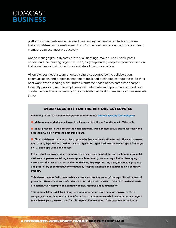platforms. Comments made via email can convey unintended attitudes or biases that sow mistrust or defensiveness. Look for the communication platforms your team members can use most productively.

And to manage group dynamics in virtual meetings, make sure all participants understand the meeting objective. Then, as group leader, keep everyone focused on that objective so that distractions don't derail the conversation.

All employees need a team-oriented culture supported by the collaboration, communication, and project management tools and technologies required to do their best work. When leading a distributed workforce, those needs come into sharper focus. By providing remote employees with adequate and appropriate support, you create the conditions necessary for your distributed workforce—and your business—to thrive.

#### CYBER SECURITY FOR THE VIRTUAL ENTERPRISE

**According to the 2017 edition of Symantec Corporation's [Internet Security Threat Report:](https://www.symantec.com/security-center/threat-report)**

- **n** Malware embedded in email rose to a five-year high. It was found in one in 131 emails.
- **n** Spear-phishing (a type of targeted email spoofing) was directed at 400 businesses daily and **cost them \$3 billion over the past three years.**

**n** Cloud databases that are not kept updated or have authentication turned off are at increased **risk of being hijacked and held for ransom. Symantec urges business owners to "get a firmer grip on . . . cloud app usage and access."**

**In the virtual workplace, where employees are accessing email, data, and dashboards via mobile devices, companies are taking a new approach to security, Kerzner says. Rather than trying to ensure security on cell phones and other devices, they're protecting data, intellectual property, and proprietary or competitive information by keeping it housed and controlled on a company intranet.** 

**This allows them to, "with reasonable accuracy, control the security," he says. "It's all password protected. There are all sorts of codes on it. Security is a lot easier to control if the dashboards are continuously going to be updated with new features and functionality."** 

**This approach limits risk by limiting access to information, even among employees. "On a company intranet, I can restrict the information to certain passwords. I can tell a certain project team, here's your password just for this project," Kerzner says. "Only certain information on**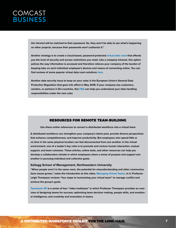**the intranet will be matched to their password. So, they won't be able to see what's happening on other projects, because their passwords won't authorize it."** 

**Another strategy is to create a cloud-based, password-protected [virtual data room](https://www.business.com/articles/secure-documents-with-virtual-data-room/) that affords you the level of security and access restrictions you need. Like a company intranet, this option polices the way information is accessed and therefore relieves your company of the burden of keeping tabs on each individual employee's devices and means of connecting online. You can find reviews of some popular virtual data room solutions [here.](https://www.capterra.com/virtual-data-room-software/)** 

**Another data security issue to keep on your radar is the European Union's General Data Protection Regulation that goes into effect in May 2018. If your company has customers, vendors, or partners in EU countries, this [FAQ](http://www.eugdpr.org/gdpr-faqs.html) can help you understand your data handling responsibilities under the new rules**

#### RESOURCES FOR REMOTE TEAM-BUILDING

#### **Use these online references to convert a distributed workforce into a virtual team**

**A distributed workforce can strengthen your company's talent pool, provide diverse perspectives that enhance competitiveness, and improve productivity. But employees who spend little or no time in the same physical location can feel disconnected from one another. In the virtual environment, one of a leader's key roles is to promote and nurture human interaction, mutual support, and team cohesion. These articles, online tools, and other resources can help you develop a collaborative climate in which employees share a sense of purpose and support one another in pursuing individual and collective goals.**

#### **Kellogg School of Management, Northwestern University**

**"When people aren't in the same room, the potential for misunderstanding and other communications issues grows," notes the introduction to this video, [Managing Virtual Teams.](http://www.kellogg.northwestern.edu/news_articles/2015/06232015-video-thompson-managing-virtual-teams.aspx) In it, Professor Leigh Thompson reviews "four steps to humanizing your virtual team" to manage conflict and achieve the group's goals.**

**[Teamwork 101](http://www.kellogg.northwestern.edu/news_articles/2014/12202014-teamwork-101.aspx) is a series of four "video toolboxes" in which Professor Thompson provides an overview of designing teams for success; optimizing team decision making, people skills, and emotional intelligence; and creativity and innovation in teams.**